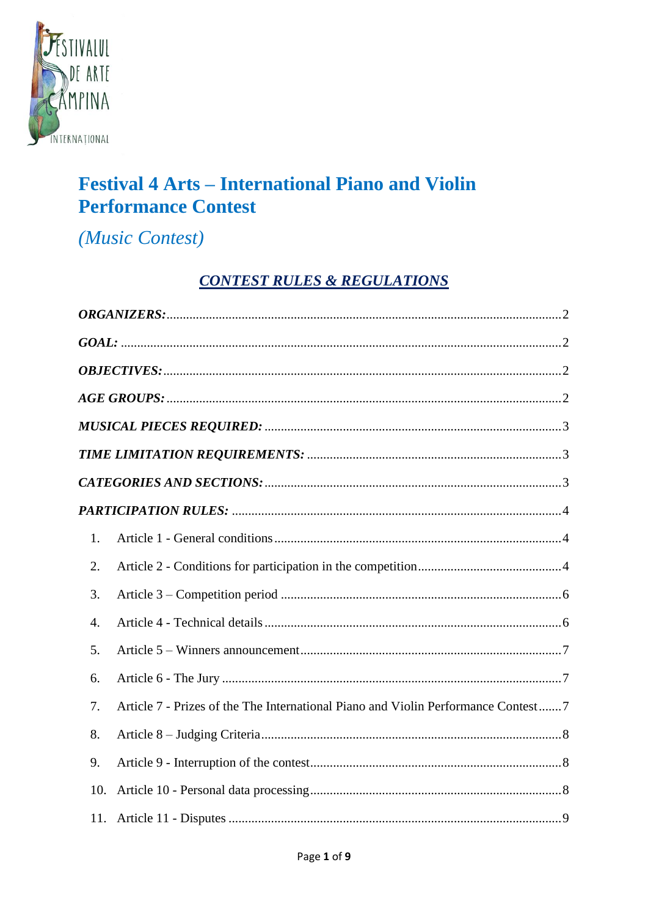

# **Festival 4 Arts – International Piano and Violin Performance Contest**

(Music Contest)

## **CONTEST RULES & REGULATIONS**

| 1.  |                                                                                   |
|-----|-----------------------------------------------------------------------------------|
| 2.  |                                                                                   |
| 3.  |                                                                                   |
| 4.  |                                                                                   |
| 5.  |                                                                                   |
| 6.  |                                                                                   |
| 7.  | Article 7 - Prizes of the The International Piano and Violin Performance Contest7 |
| 8.  |                                                                                   |
| 9.  |                                                                                   |
| 10. |                                                                                   |
|     |                                                                                   |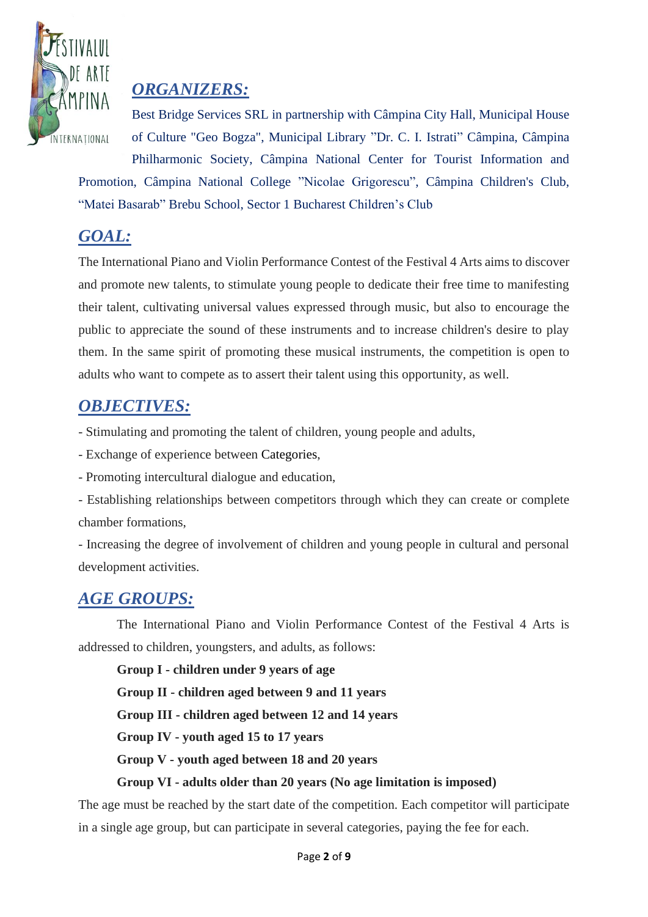

# <span id="page-1-0"></span>*ORGANIZERS:*

Best Bridge Services SRL in partnership with Câmpina City Hall, Municipal House of Culture "Geo Bogza", Municipal Library "Dr. C. I. Istrati" Câmpina, Câmpina Philharmonic Society, Câmpina National Center for Tourist Information and

Promotion, Câmpina National College "Nicolae Grigorescu", Câmpina Children's Club, "Matei Basarab" Brebu School, Sector 1 Bucharest Children's Club

# <span id="page-1-1"></span>*GOAL:*

The International Piano and Violin Performance Contest of the Festival 4 Arts aims to discover and promote new talents, to stimulate young people to dedicate their free time to manifesting their talent, cultivating universal values expressed through music, but also to encourage the public to appreciate the sound of these instruments and to increase children's desire to play them. In the same spirit of promoting these musical instruments, the competition is open to adults who want to compete as to assert their talent using this opportunity, as well.

### <span id="page-1-2"></span>*OBJECTIVES:*

- Stimulating and promoting the talent of children, young people and adults,

- Exchange of experience between Categories,
- Promoting intercultural dialogue and education,

- Establishing relationships between competitors through which they can create or complete chamber formations,

- Increasing the degree of involvement of children and young people in cultural and personal development activities.

# <span id="page-1-3"></span>*AGE GROUPS:*

The International Piano and Violin Performance Contest of the Festival 4 Arts is addressed to children, youngsters, and adults, as follows:

**Group I - children under 9 years of age**

**Group II - children aged between 9 and 11 years**

**Group III - children aged between 12 and 14 years**

**Group IV - youth aged 15 to 17 years**

**Group V - youth aged between 18 and 20 years**

### **Group VI - adults older than 20 years (No age limitation is imposed)**

The age must be reached by the start date of the competition. Each competitor will participate in a single age group, but can participate in several categories, paying the fee for each.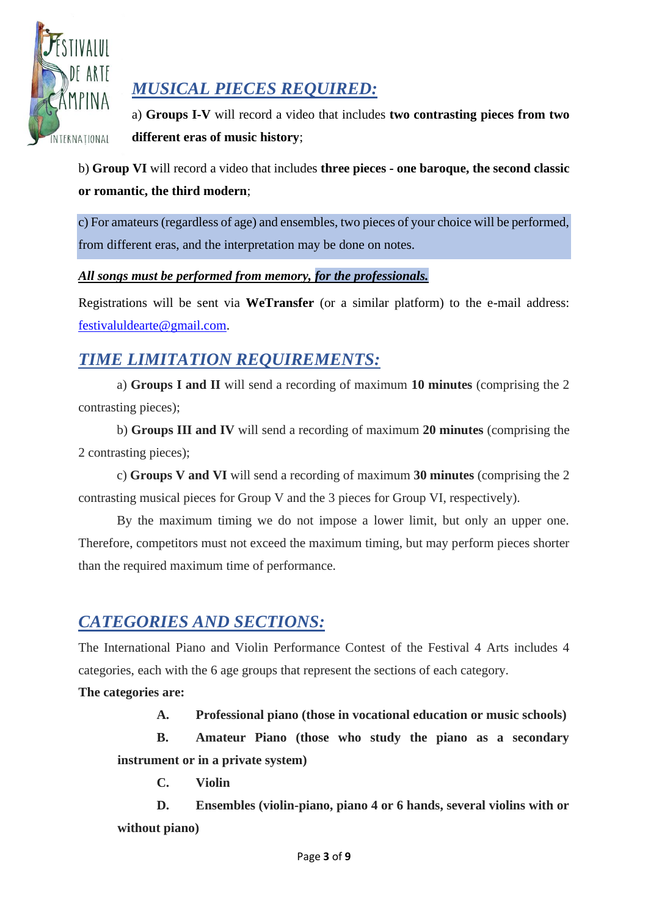

# <span id="page-2-0"></span>*MUSICAL PIECES REQUIRED:*

a) **Groups I-V** will record a video that includes **two contrasting pieces from two different eras of music history**;

b) **Group VI** will record a video that includes **three pieces - one baroque, the second classic or romantic, the third modern**;

c) For amateurs (regardless of age) and ensembles, two pieces of your choice will be performed, from different eras, and the interpretation may be done on notes.

#### *All songs must be performed from memory, for the professionals.*

Registrations will be sent via **WeTransfer** (or a similar platform) to the e-mail address: [festivaluldearte@gmail.com.](mailto:festivaluldearte@gmail.com)

# <span id="page-2-1"></span>*TIME LIMITATION REQUIREMENTS:*

a) **Groups I and II** will send a recording of maximum **10 minutes** (comprising the 2 contrasting pieces);

b) **Groups III and IV** will send a recording of maximum **20 minutes** (comprising the 2 contrasting pieces);

c) **Groups V and VI** will send a recording of maximum **30 minutes** (comprising the 2 contrasting musical pieces for Group V and the 3 pieces for Group VI, respectively).

By the maximum timing we do not impose a lower limit, but only an upper one. Therefore, competitors must not exceed the maximum timing, but may perform pieces shorter than the required maximum time of performance.

# <span id="page-2-2"></span>*CATEGORIES AND SECTIONS:*

The International Piano and Violin Performance Contest of the Festival 4 Arts includes 4 categories, each with the 6 age groups that represent the sections of each category.

**The categories are:**

**A. Professional piano (those in vocational education or music schools)**

**B. Amateur Piano (those who study the piano as a secondary instrument or in a private system)**

**C. Violin**

**D. Ensembles (violin-piano, piano 4 or 6 hands, several violins with or without piano)**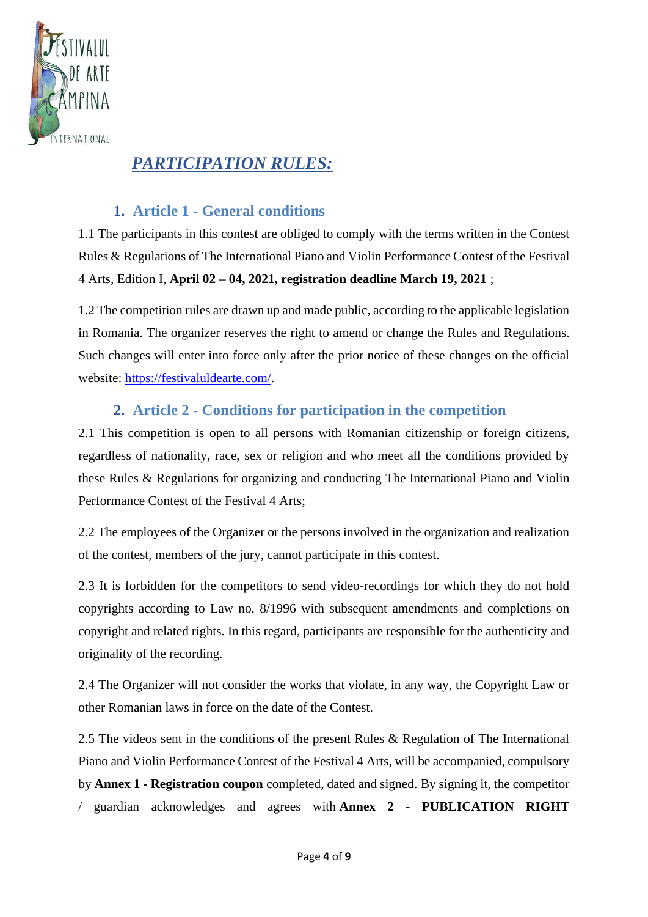

# <span id="page-3-0"></span>*PARTICIPATION RULES:*

### **1. Article 1 - General conditions**

<span id="page-3-1"></span>1.1 The participants in this contest are obliged to comply with the terms written in the Contest Rules & Regulations of The International Piano and Violin Performance Contest of the Festival 4 Arts, Edition I, **April 02 – 04, 2021, registration deadline March 19, 2021** ;

1.2 The competition rules are drawn up and made public, according to the applicable legislation in Romania. The organizer reserves the right to amend or change the Rules and Regulations. Such changes will enter into force only after the prior notice of these changes on the official website: [https://festivaluldearte.com/.](https://festivaluldearte.com/)

### **2. Article 2 - Conditions for participation in the competition**

<span id="page-3-2"></span>2.1 This competition is open to all persons with Romanian citizenship or foreign citizens, regardless of nationality, race, sex or religion and who meet all the conditions provided by these Rules & Regulations for organizing and conducting The International Piano and Violin Performance Contest of the Festival 4 Arts;

2.2 The employees of the Organizer or the persons involved in the organization and realization of the contest, members of the jury, cannot participate in this contest.

2.3 It is forbidden for the competitors to send video-recordings for which they do not hold copyrights according to Law no. 8/1996 with subsequent amendments and completions on copyright and related rights. In this regard, participants are responsible for the authenticity and originality of the recording.

2.4 The Organizer will not consider the works that violate, in any way, the Copyright Law or other Romanian laws in force on the date of the Contest.

2.5 The videos sent in the conditions of the present Rules & Regulation of The International Piano and Violin Performance Contest of the Festival 4 Arts, will be accompanied, compulsory by **Annex 1 - Registration coupon** completed, dated and signed. By signing it, the competitor / guardian acknowledges and agrees with **Annex 2 - PUBLICATION RIGHT**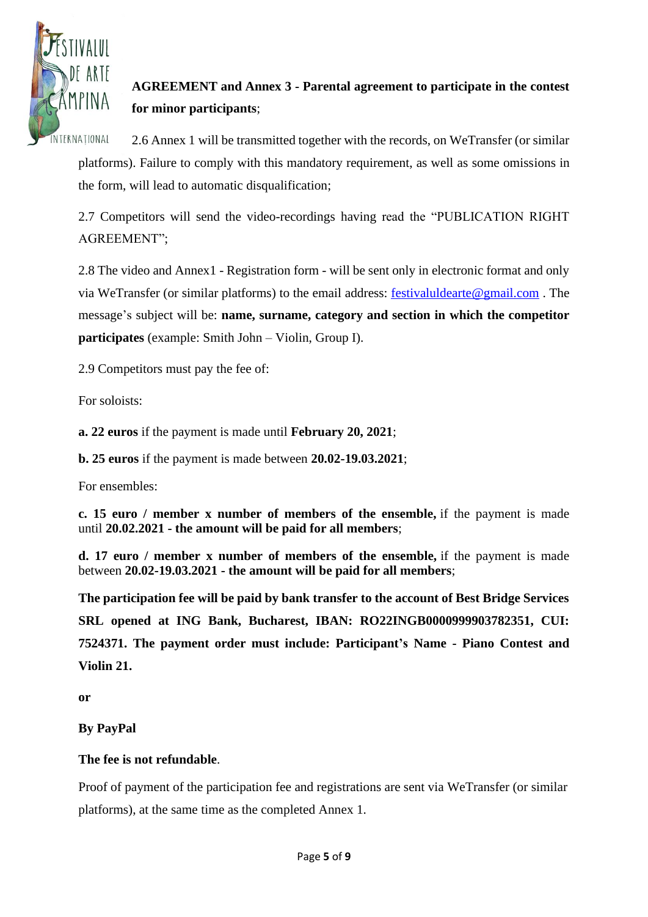

## **AGREEMENT and Annex 3 - Parental agreement to participate in the contest for minor participants**;

2.6 Annex 1 will be transmitted together with the records, on WeTransfer (or similar platforms). Failure to comply with this mandatory requirement, as well as some omissions in the form, will lead to automatic disqualification;

2.7 Competitors will send the video-recordings having read the "PUBLICATION RIGHT AGREEMENT";

2.8 The video and Annex1 - Registration form - will be sent only in electronic format and only via WeTransfer (or similar platforms) to the email address: [festivaluldearte@gmail.com](mailto:festivaluldearte@gmail.com) . The message's subject will be: **name, surname, category and section in which the competitor participates** (example: Smith John – Violin, Group I).

2.9 Competitors must pay the fee of:

For soloists:

**a. 22 euros** if the payment is made until **February 20, 2021**;

**b. 25 euros** if the payment is made between **20.02-19.03.2021**;

For ensembles:

**c. 15 euro / member x number of members of the ensemble,** if the payment is made until **20.02.2021 - the amount will be paid for all members**;

**d. 17 euro / member x number of members of the ensemble,** if the payment is made between **20.02-19.03.2021 - the amount will be paid for all members**;

**The participation fee will be paid by bank transfer to the account of Best Bridge Services SRL opened at ING Bank, Bucharest, IBAN: RO22INGB0000999903782351, CUI: 7524371. The payment order must include: Participant's Name - Piano Contest and Violin 21.**

**or**

**By PayPal**

#### **The fee is not refundable**.

Proof of payment of the participation fee and registrations are sent via WeTransfer (or similar platforms), at the same time as the completed Annex 1.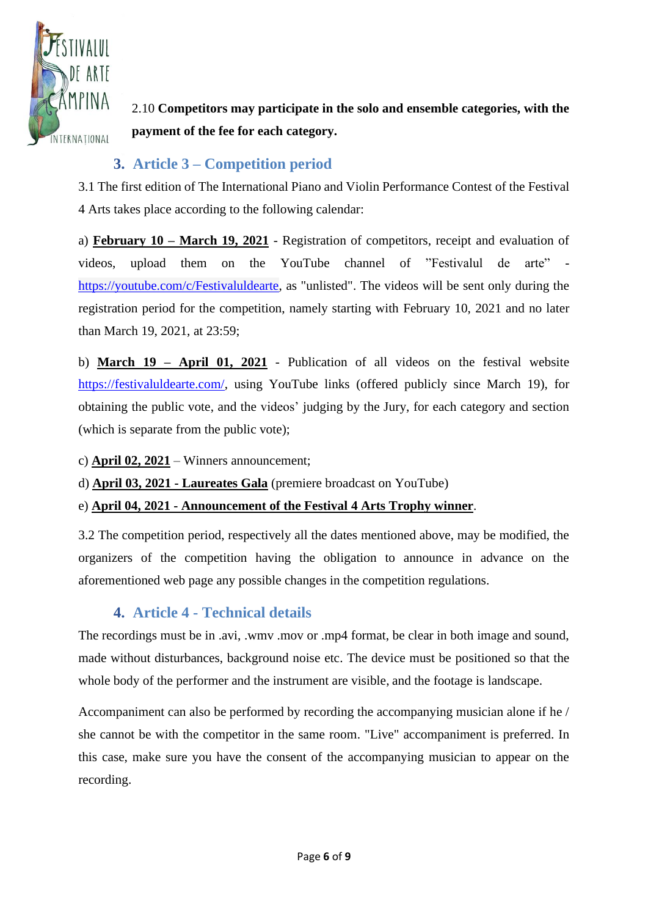

2.10 **Competitors may participate in the solo and ensemble categories, with the payment of the fee for each category.**

### **3. Article 3 – Competition period**

<span id="page-5-0"></span>3.1 The first edition of The International Piano and Violin Performance Contest of the Festival 4 Arts takes place according to the following calendar:

a) **February 10 – March 19, 2021** - Registration of competitors, receipt and evaluation of videos, upload them on the YouTube channel of "Festivalul de arte" [https://youtube.com/c/Festivaluldearte,](https://youtube.com/c/Festivaluldearte) as "unlisted". The videos will be sent only during the registration period for the competition, namely starting with February 10, 2021 and no later than March 19, 2021, at 23:59;

b) **March 19 – April 01, 2021** - Publication of all videos on the festival website [https://festivaluldearte.com/,](https://festivaluldearte.com/) using YouTube links (offered publicly since March 19), for obtaining the public vote, and the videos' judging by the Jury, for each category and section (which is separate from the public vote);

- c) **April 02, 2021** Winners announcement;
- d) **April 03, 2021 - Laureates Gala** (premiere broadcast on YouTube)
- e) **April 04, 2021 - Announcement of the Festival 4 Arts Trophy winner**.

3.2 The competition period, respectively all the dates mentioned above, may be modified, the organizers of the competition having the obligation to announce in advance on the aforementioned web page any possible changes in the competition regulations.

### **4. Article 4 - Technical details**

<span id="page-5-1"></span>The recordings must be in .avi, .wmv .mov or .mp4 format, be clear in both image and sound, made without disturbances, background noise etc. The device must be positioned so that the whole body of the performer and the instrument are visible, and the footage is landscape.

Accompaniment can also be performed by recording the accompanying musician alone if he / she cannot be with the competitor in the same room. "Live" accompaniment is preferred. In this case, make sure you have the consent of the accompanying musician to appear on the recording.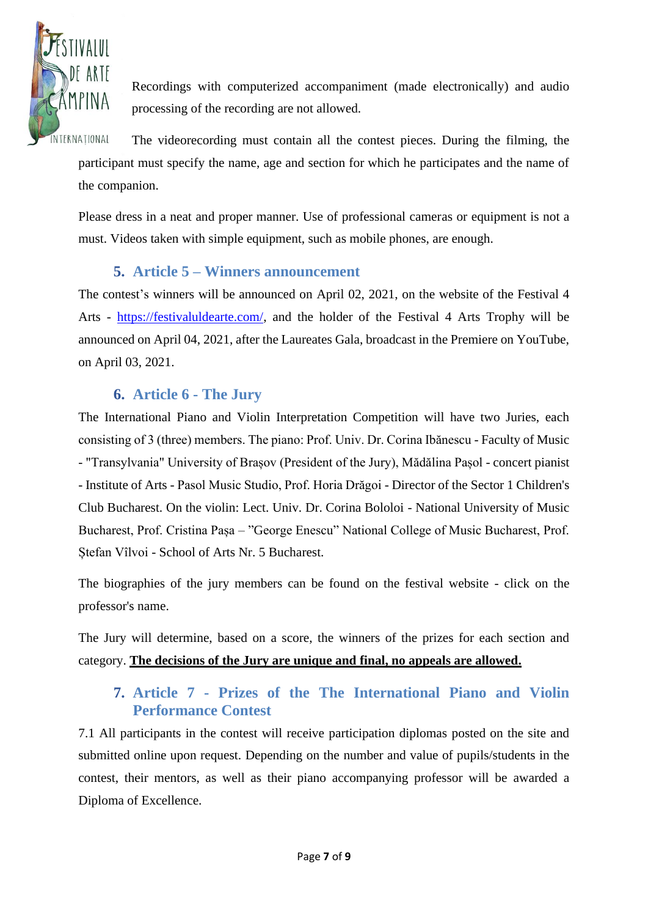

Recordings with computerized accompaniment (made electronically) and audio processing of the recording are not allowed.

The videorecording must contain all the contest pieces. During the filming, the participant must specify the name, age and section for which he participates and the name of the companion.

Please dress in a neat and proper manner. Use of professional cameras or equipment is not a must. Videos taken with simple equipment, such as mobile phones, are enough.

### **5. Article 5 – Winners announcement**

<span id="page-6-0"></span>The contest's winners will be announced on April 02, 2021, on the website of the Festival 4 Arts - [https://festivaluldearte.com/,](https://festivaluldearte.com/) and the holder of the Festival 4 Arts Trophy will be announced on April 04, 2021, after the Laureates Gala, broadcast in the Premiere on YouTube, on April 03, 2021.

#### **6. Article 6 - The Jury**

<span id="page-6-1"></span>The International Piano and Violin Interpretation Competition will have two Juries, each consisting of 3 (three) members. The piano: Prof. Univ. Dr. Corina Ibănescu - Faculty of Music - "Transylvania" University of Brașov (President of the Jury), Mădălina Pașol - concert pianist - Institute of Arts - Pasol Music Studio, Prof. Horia Drăgoi - Director of the Sector 1 Children's Club Bucharest. On the violin: Lect. Univ. Dr. Corina Bololoi - National University of Music Bucharest, Prof. Cristina Pașa – "George Enescu" National College of Music Bucharest, Prof. Ștefan Vîlvoi - School of Arts Nr. 5 Bucharest.

The biographies of the jury members can be found on the festival website - click on the professor's name.

The Jury will determine, based on a score, the winners of the prizes for each section and category. **The decisions of the Jury are unique and final, no appeals are allowed.**

### <span id="page-6-2"></span>**7. Article 7 - Prizes of the The International Piano and Violin Performance Contest**

7.1 All participants in the contest will receive participation diplomas posted on the site and submitted online upon request. Depending on the number and value of pupils/students in the contest, their mentors, as well as their piano accompanying professor will be awarded a Diploma of Excellence.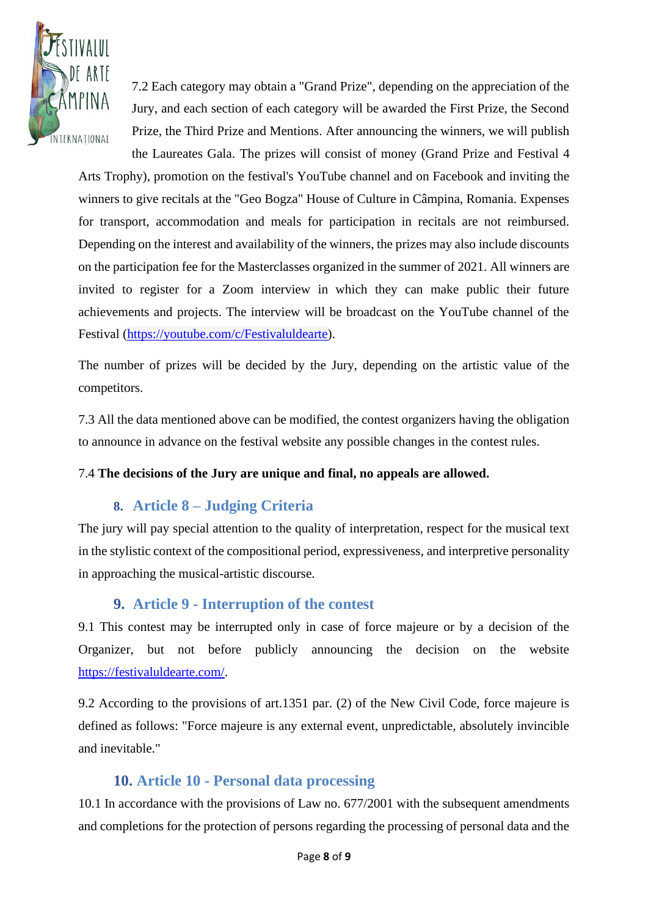

7.2 Each category may obtain a "Grand Prize", depending on the appreciation of the Jury, and each section of each category will be awarded the First Prize, the Second Prize, the Third Prize and Mentions. After announcing the winners, we will publish the Laureates Gala. The prizes will consist of money (Grand Prize and Festival 4

Arts Trophy), promotion on the festival's YouTube channel and on Facebook and inviting the winners to give recitals at the "Geo Bogza" House of Culture in Câmpina, Romania. Expenses for transport, accommodation and meals for participation in recitals are not reimbursed. Depending on the interest and availability of the winners, the prizes may also include discounts on the participation fee for the Masterclasses organized in the summer of 2021. All winners are invited to register for a Zoom interview in which they can make public their future achievements and projects. The interview will be broadcast on the YouTube channel of the Festival [\(https://youtube.com/c/Festivaluldearte\)](https://youtube.com/c/Festivaluldearte).

The number of prizes will be decided by the Jury, depending on the artistic value of the competitors.

7.3 All the data mentioned above can be modified, the contest organizers having the obligation to announce in advance on the festival website any possible changes in the contest rules.

#### 7.4 **The decisions of the Jury are unique and final, no appeals are allowed.**

#### **8. Article 8 – Judging Criteria**

<span id="page-7-0"></span>The jury will pay special attention to the quality of interpretation, respect for the musical text in the stylistic context of the compositional period, expressiveness, and interpretive personality in approaching the musical-artistic discourse.

#### **9. Article 9 - Interruption of the contest**

<span id="page-7-1"></span>9.1 This contest may be interrupted only in case of force majeure or by a decision of the Organizer, but not before publicly announcing the decision on the website [https://festivaluldearte.com/.](https://festivaluldearte.com/)

9.2 According to the provisions of art.1351 par. (2) of the New Civil Code, force majeure is defined as follows: "Force majeure is any external event, unpredictable, absolutely invincible and inevitable."

#### <span id="page-7-2"></span>**10. Article 10 - Personal data processing**

10.1 In accordance with the provisions of Law no. 677/2001 with the subsequent amendments and completions for the protection of persons regarding the processing of personal data and the